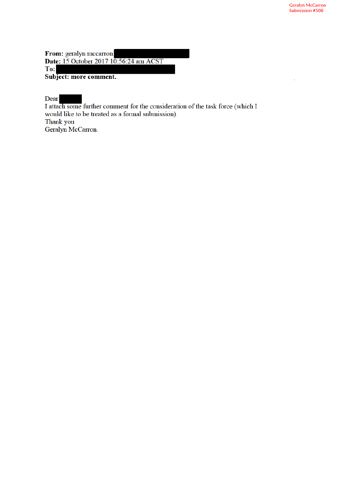From: geralyn mccarron **Date:** 15 October 2017 10:56:24 am ACST To: Subject: more comment.

Dear

I attach some further comment for the consideration of the task force (which I would like to be treated as a formal submission). Thank you

Geralyn McCarron.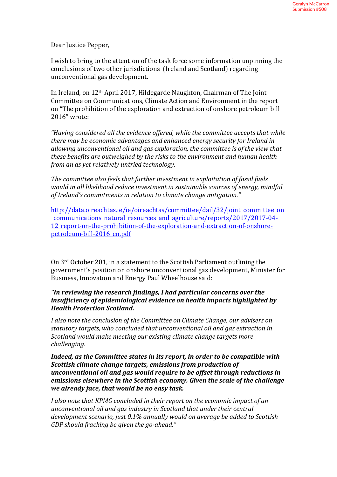Dear Justice Pepper,

I wish to bring to the attention of the task force some information unpinning the conclusions of two other jurisdictions (Ireland and Scotland) regarding unconventional gas development.

In Ireland, on 12th April 2017, Hildegarde Naughton, Chairman of The Joint Committee on Communications, Climate Action and Environment in the report on "The prohibition of the exploration and extraction of onshore petroleum bill 2016" wrote:

*"Having considered all the evidence offered, while the committee accepts that while there may be economic advantages and enhanced energy security for Ireland in allowing unconventional oil and gas exploration, the committee is of the view that these benefits are outweighed by the risks to the environment and human health from an as yet relatively untried technology.*

*The committee also feels that further investment in exploitation of fossil fuels would in all likelihood reduce investment in sustainable sources of energy, mindful of Ireland's commitments in relation to climate change mitigation."*

http://data.oireachtas.ie/ie/oireachtas/committee/dail/32/joint committee on communications natural resources and agriculture/reports/2017/2017-04- 12 report-on-the-prohibition-of-the-exploration-and-extraction-of-onshorepetroleum-bill-2016 en.pdf

On 3rd October 201, in a statement to the Scottish Parliament outlining the government's position on onshore unconventional gas development, Minister for Business, Innovation and Energy Paul Wheelhouse said:

## *"In reviewing the research findings, I had particular concerns over the insufficiency of epidemiological evidence on health impacts highlighted by Health Protection Scotland.*

*I also note the conclusion of the Committee on Climate Change, our advisers on statutory targets, who concluded that unconventional oil and gas extraction in Scotland would make meeting our existing climate change targets more challenging.*

*Indeed, as the Committee states in its report, in order to be compatible with Scottish climate change targets, emissions from production of unconventional oil and gas would require to be offset through reductions in emissions elsewhere in the Scottish economy. Given the scale of the challenge we already face, that would be no easy task.* 

*I also note that KPMG concluded in their report on the economic impact of an unconventional oil and gas industry in Scotland that under their central development scenario, just 0.1% annually would on average be added to Scottish GDP should fracking be given the go-ahead."*